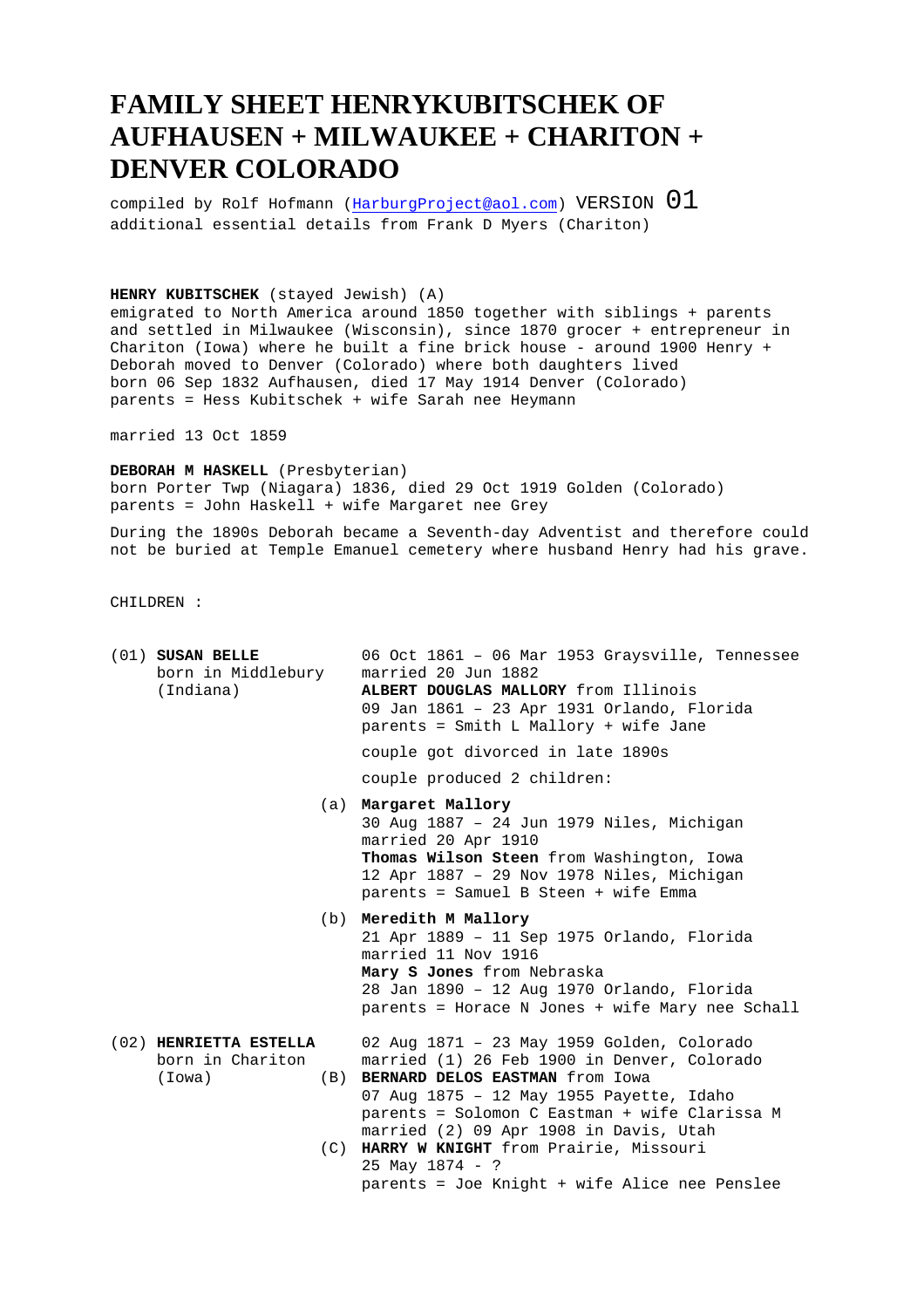## **FAMILY SHEET HENRYKUBITSCHEK OF AUFHAUSEN + MILWAUKEE + CHARITON + DENVER COLORADO**

compiled by Rolf Hofmann (HarburgProject@aol.com) VERSION  $01$ additional essential details from Frank D Myers (Chariton)

## **HENRY KUBITSCHEK** (stayed Jewish) (A)

emigrated to North America around 1850 together with siblings + parents and settled in Milwaukee (Wisconsin), since 1870 grocer + entrepreneur in Chariton (Iowa) where he built a fine brick house - around 1900 Henry + Deborah moved to Denver (Colorado) where both daughters lived born 06 Sep 1832 Aufhausen, died 17 May 1914 Denver (Colorado) parents = Hess Kubitschek + wife Sarah nee Heymann

married 13 Oct 1859

**DEBORAH M HASKELL** (Presbyterian) born Porter Twp (Niagara) 1836, died 29 Oct 1919 Golden (Colorado) parents = John Haskell + wife Margaret nee Grey

During the 1890s Deborah became a Seventh-day Adventist and therefore could not be buried at Temple Emanuel cemetery where husband Henry had his grave.

CHILDREN :

| $(01)$ SUSAN BELLE<br>born in Middlebury<br>(Indiana) |            | 06 Oct 1861 - 06 Mar 1953 Graysville, Tennessee<br>married 20 Jun 1882<br>ALBERT DOUGLAS MALLORY from Illinois<br>09 Jan 1861 - 23 Apr 1931 Orlando, Florida<br>parents = Smith L Mallory + wife Jane                                                                                                                                                                                |
|-------------------------------------------------------|------------|--------------------------------------------------------------------------------------------------------------------------------------------------------------------------------------------------------------------------------------------------------------------------------------------------------------------------------------------------------------------------------------|
|                                                       |            | couple got divorced in late 1890s                                                                                                                                                                                                                                                                                                                                                    |
|                                                       |            | couple produced 2 children:                                                                                                                                                                                                                                                                                                                                                          |
|                                                       |            | (a) Margaret Mallory<br>30 Aug 1887 - 24 Jun 1979 Niles, Michigan<br>married 20 Apr 1910<br>Thomas Wilson Steen from Washington, Iowa<br>12 Apr 1887 - 29 Nov 1978 Niles, Michigan<br>parents = Samuel B Steen + wife Emma                                                                                                                                                           |
|                                                       | (b)        | Meredith M Mallory<br>21 Apr 1889 - 11 Sep 1975 Orlando, Florida<br>married 11 Nov 1916<br>Mary S Jones from Nebraska<br>28 Jan 1890 - 12 Aug 1970 Orlando, Florida<br>parents = Horace N Jones + wife Mary nee Schall                                                                                                                                                               |
| (02) HENRIETTA ESTELLA<br>born in Chariton<br>(Iowa)  | (B)<br>(C) | 02 Aug 1871 - 23 May 1959 Golden, Colorado<br>married (1) 26 Feb 1900 in Denver, Colorado<br>BERNARD DELOS EASTMAN from Iowa<br>07 Aug 1875 - 12 May 1955 Payette, Idaho<br>parents = Solomon C Eastman + wife Clarissa M<br>married (2) 09 Apr 1908 in Davis, Utah<br>HARRY W KNIGHT from Prairie, Missouri<br>$25$ May $1874 - ?$<br>parents = Joe Knight + wife Alice nee Penslee |